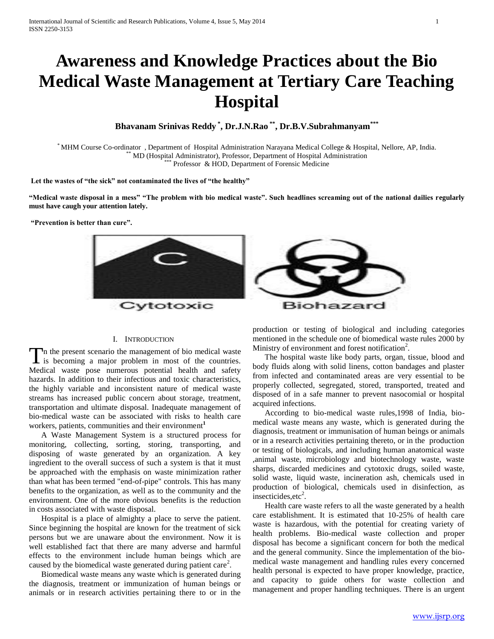# **Awareness and Knowledge Practices about the Bio Medical Waste Management at Tertiary Care Teaching Hospital**

**Bhavanam Srinivas Reddy \* , Dr.J.N.Rao \*\* , Dr.B.V.Subrahmanyam\*\*\***

\* MHM Course Co-ordinator , Department of Hospital Administration Narayana Medical College & Hospital, Nellore, AP, India. \*\* MD (Hospital Administrator), Professor, Department of Hospital Administration \*\*\* Professor & HOD, Department of Forensic Medicine

**Let the wastes of "the sick" not contaminated the lives of "the healthy"**

**"Medical waste disposal in a mess" "The problem with bio medical waste". Such headlines screaming out of the national dailies regularly must have caugh your attention lately.**

**"Prevention is better than cure".**



## I. INTRODUCTION

 $\Gamma$ n the present scenario the management of bio medical waste The present scenario the management of bio medical waste<br>is becoming a major problem in most of the countries. Medical waste pose numerous potential health and safety hazards. In addition to their infectious and toxic characteristics, the highly variable and inconsistent nature of medical waste streams has increased public concern about storage, treatment, transportation and ultimate disposal. Inadequate management of bio-medical waste can be associated with risks to health care workers, patients, communities and their environment**<sup>1</sup>**

 A Waste Management System is a structured process for monitoring, collecting, sorting, storing, transporting, and disposing of waste generated by an organization. A key ingredient to the overall success of such a system is that it must be approached with the emphasis on waste minimization rather than what has been termed "end-of-pipe" controls. This has many benefits to the organization, as well as to the community and the environment. One of the more obvious benefits is the reduction in costs associated with waste disposal.

 Hospital is a place of almighty a place to serve the patient. Since beginning the hospital are known for the treatment of sick persons but we are unaware about the environment. Now it is well established fact that there are many adverse and harmful effects to the environment include human beings which are caused by the biomedical waste generated during patient care<sup>2</sup>.

 Biomedical waste means any waste which is generated during the diagnosis, treatment or immunization of human beings or animals or in research activities pertaining there to or in the

production or testing of biological and including categories mentioned in the schedule one of biomedical waste rules 2000 by Ministry of environment and forest notification<sup>2</sup>.

 The hospital waste like body parts, organ, tissue, blood and body fluids along with solid linens, cotton bandages and plaster from infected and contaminated areas are very essential to be properly collected, segregated, stored, transported, treated and disposed of in a safe manner to prevent nasocomial or hospital acquired infections.

 According to bio-medical waste rules,1998 of India, biomedical waste means any waste, which is generated during the diagnosis, treatment or immunisation of human beings or animals or in a research activities pertaining thereto, or in the production or testing of biologicals, and including human anatomical waste ,animal waste, microbiology and biotechnology waste, waste sharps, discarded medicines and cytotoxic drugs, soiled waste, solid waste, liquid waste, incineration ash, chemicals used in production of biological, chemicals used in disinfection, as insecticides, etc<sup>2</sup>.

 Health care waste refers to all the waste generated by a health care establishment. It is estimated that 10-25% of health care waste is hazardous, with the potential for creating variety of health problems. Bio-medical waste collection and proper disposal has become a significant concern for both the medical and the general community. Since the implementation of the biomedical waste management and handling rules every concerned health personal is expected to have proper knowledge, practice, and capacity to guide others for waste collection and management and proper handling techniques. There is an urgent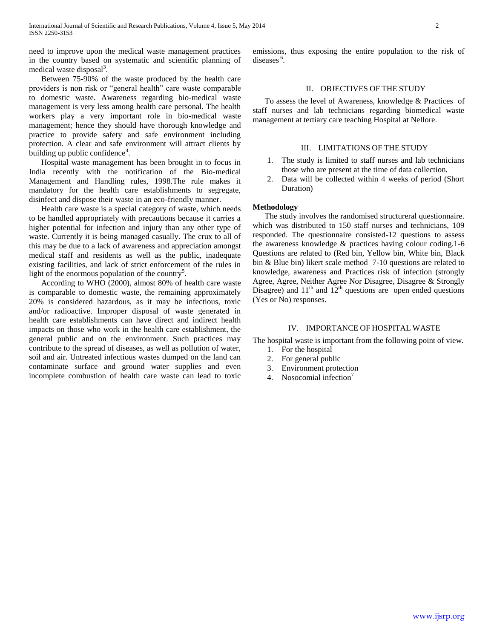need to improve upon the medical waste management practices in the country based on systematic and scientific planning of medical waste disposal<sup>3</sup>.

 Between 75-90% of the waste produced by the health care providers is non risk or "general health" care waste comparable to domestic waste. Awareness regarding bio-medical waste management is very less among health care personal. The health workers play a very important role in bio-medical waste management; hence they should have thorough knowledge and practice to provide safety and safe environment including protection. A clear and safe environment will attract clients by building up public confidence<sup>4</sup>.

 Hospital waste management has been brought in to focus in India recently with the notification of the Bio-medical Management and Handling rules, 1998.The rule makes it mandatory for the health care establishments to segregate, disinfect and dispose their waste in an eco-friendly manner.

 Health care waste is a special category of waste, which needs to be handled appropriately with precautions because it carries a higher potential for infection and injury than any other type of waste. Currently it is being managed casually. The crux to all of this may be due to a lack of awareness and appreciation amongst medical staff and residents as well as the public, inadequate existing facilities, and lack of strict enforcement of the rules in light of the enormous population of the country<sup>5</sup>.

 According to WHO (2000), almost 80% of health care waste is comparable to domestic waste, the remaining approximately 20% is considered hazardous, as it may be infectious, toxic and/or radioactive. Improper disposal of waste generated in health care establishments can have direct and indirect health impacts on those who work in the health care establishment, the general public and on the environment. Such practices may contribute to the spread of diseases, as well as pollution of water, soil and air. Untreated infectious wastes dumped on the land can contaminate surface and ground water supplies and even incomplete combustion of health care waste can lead to toxic

emissions, thus exposing the entire population to the risk of diseases<sup>6</sup>.

## II. OBJECTIVES OF THE STUDY

 To assess the level of Awareness, knowledge & Practices of staff nurses and lab technicians regarding biomedical waste management at tertiary care teaching Hospital at Nellore.

## III. LIMITATIONS OF THE STUDY

- 1. The study is limited to staff nurses and lab technicians those who are present at the time of data collection.
- 2. Data will be collected within 4 weeks of period (Short Duration)

#### **Methodology**

 The study involves the randomised structureral questionnaire. which was distributed to 150 staff nurses and technicians, 109 responded. The questionnaire consisted-12 questions to assess the awareness knowledge & practices having colour coding.1-6 Questions are related to (Red bin, Yellow bin, White bin, Black bin & Blue bin) likert scale method 7-10 questions are related to knowledge, awareness and Practices risk of infection (strongly Agree, Agree, Neither Agree Nor Disagree, Disagree & Strongly Disagree) and  $11<sup>th</sup>$  and  $12<sup>th</sup>$  questions are open ended questions (Yes or No) responses.

#### IV. IMPORTANCE OF HOSPITAL WASTE

The hospital waste is important from the following point of view.

- 1. For the hospital
- 2. For general public
- 3. Environment protection
- 4. Nosocomial infection<sup>7</sup>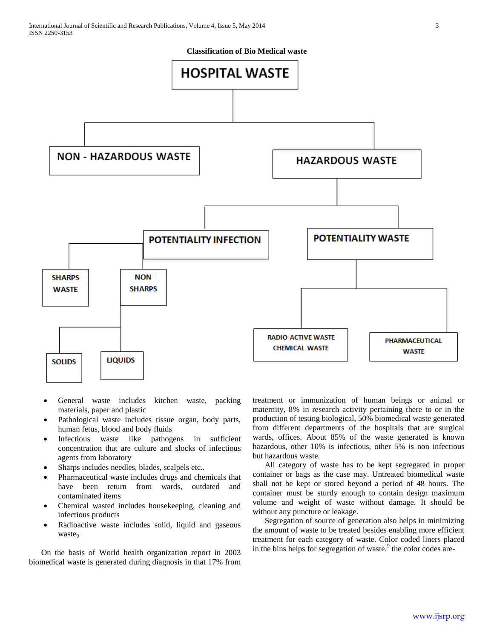

- General waste includes kitchen waste, packing materials, paper and plastic
- Pathological waste includes tissue organ, body parts, human fetus, blood and body fluids
- Infectious waste like pathogens in sufficient concentration that are culture and slocks of infectious agents from laboratory
- Sharps includes needles, blades, scalpels etc..
- Pharmaceutical waste includes drugs and chemicals that have been return from wards, outdated and contaminated items
- Chemical wasted includes housekeeping, cleaning and infectious products
- Radioactive waste includes solid, liquid and gaseous waste

 On the basis of World health organization report in 2003 biomedical waste is generated during diagnosis in that 17% from treatment or immunization of human beings or animal or maternity, 8% in research activity pertaining there to or in the production of testing biological, 50% biomedical waste generated from different departments of the hospitals that are surgical wards, offices. About 85% of the waste generated is known hazardous, other 10% is infectious, other 5% is non infectious but hazardous waste.

 All category of waste has to be kept segregated in proper container or bags as the case may. Untreated biomedical waste shall not be kept or stored beyond a period of 48 hours. The container must be sturdy enough to contain design maximum volume and weight of waste without damage. It should be without any puncture or leakage.

 Segregation of source of generation also helps in minimizing the amount of waste to be treated besides enabling more efficient treatment for each category of waste. Color coded liners placed in the bins helps for segregation of waste.<sup>9</sup> the color codes are-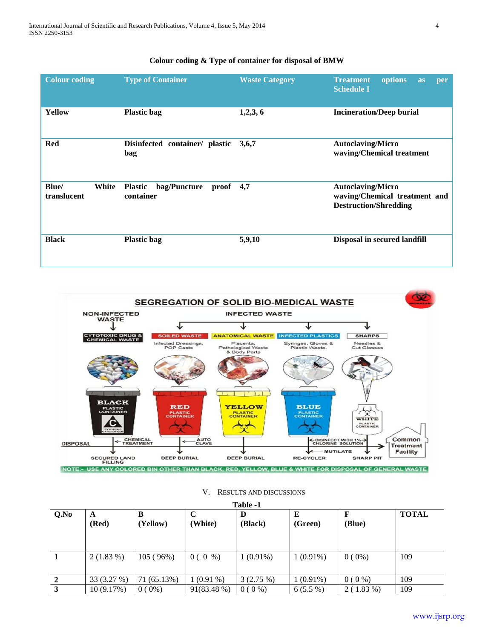# **Colour coding & Type of container for disposal of BMW**

| <b>Colour coding</b>          | <b>Type of Container</b>                                   | <b>Waste Category</b> | options<br><b>Treatment</b><br>as<br>per<br><b>Schedule I</b>                             |
|-------------------------------|------------------------------------------------------------|-----------------------|-------------------------------------------------------------------------------------------|
| <b>Yellow</b>                 | <b>Plastic bag</b>                                         | 1,2,3,6               | <b>Incineration/Deep burial</b>                                                           |
| <b>Red</b>                    | Disinfected container/ plastic<br>bag                      | 3,6,7                 | <b>Autoclaving/Micro</b><br>waving/Chemical treatment                                     |
| Blue/<br>White<br>translucent | bag/Puncture<br><b>Plastic</b><br>proof $4,7$<br>container |                       | <b>Autoclaving/Micro</b><br>waving/Chemical treatment and<br><b>Destruction/Shredding</b> |
| <b>Black</b>                  | <b>Plastic bag</b>                                         | 5,9,10                | Disposal in secured landfill                                                              |



|      | Table -1    |               |              |              |             |          |              |  |  |  |
|------|-------------|---------------|--------------|--------------|-------------|----------|--------------|--|--|--|
| Q.No | A<br>(Red)  | в<br>(Yellow) | (White)      | D<br>(Black) | (Green)     | (Blue)   | <b>TOTAL</b> |  |  |  |
|      | $2(1.83\%)$ | 105 (96%)     | 0(0<br>$%$ ) | $1(0.91\%)$  | $1(0.91\%)$ | $0(0\%)$ | 109          |  |  |  |
|      | 33 (3.27 %) | 71 (65.13%)   | $1(0.91\%)$  | $3(2.75\%)$  | $1(0.91\%)$ | $0(0\%)$ | 109          |  |  |  |
|      | 10(9.17%)   | $0(0\%)$      | 91(83.48 %)  | $0(0\%)$     | $6(5.5\%)$  | 2(1.83%) | 109          |  |  |  |

# V. RESULTS AND DISCUSSIONS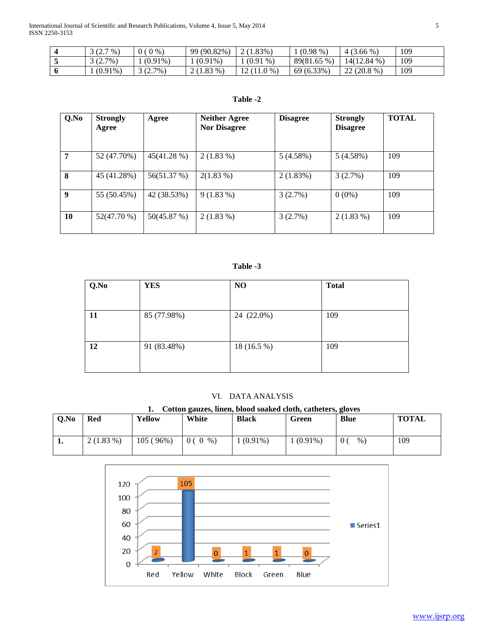| $3(2.7\%)$ | $0\%$<br>0 <sub>0</sub> | 99 (90.82%) | 2(1.83%)         | $(0.98\%)$  | $4(3.66\%)$   | 109 |
|------------|-------------------------|-------------|------------------|-------------|---------------|-----|
| $3(2.7\%)$ | $(0.91\%)$              | $(0.91\%)$  | (0.91)<br>$\%$ ) | 89(81.65 %) | $14(12.84\%)$ | 109 |
| $(0.91\%)$ | 3(2.7%)                 | $2(1.83\%)$ | $12(11.0\%)$     | 69 (6.33%)  | $22(20.8\%)$  | 109 |

# **Table -2**

| Q.No | <b>Strongly</b><br>Agree | Agree       | <b>Neither Agree</b><br><b>Nor Disagree</b> | <b>Disagree</b> | <b>Strongly</b><br><b>Disagree</b> | <b>TOTAL</b> |
|------|--------------------------|-------------|---------------------------------------------|-----------------|------------------------------------|--------------|
| 7    | 52 (47.70%)              | 45(41.28 %) | $2(1.83\%)$                                 | 5(4.58%)        | 5(4.58%)                           | 109          |
| 8    | 45 (41.28%)              | 56(51.37 %) | $2(1.83\%)$                                 | 2(1.83%)        | 3(2.7%)                            | 109          |
| 9    | 55 (50.45%)              | 42 (38.53%) | $9(1.83\%)$                                 | 3(2.7%)         | $0(0\%)$                           | 109          |
| 10   | 52(47.70 %)              | 50(45.87%)  | $2(1.83\%)$                                 | 3(2.7%)         | $2(1.83\%)$                        | 109          |

# **Table -3**

| Q.No | <b>YES</b>  | NO          | <b>Total</b> |
|------|-------------|-------------|--------------|
|      |             |             |              |
| 11   | 85 (77.98%) | 24 (22.0%)  | 109          |
|      |             |             |              |
| 12   | 91 (83.48%) | 18 (16.5 %) | 109          |
|      |             |             |              |

## VI. DATA ANALYSIS

|      | Cotton gauzes, linen, blood soaked cloth, catheters, gloves |          |          |              |             |             |              |  |
|------|-------------------------------------------------------------|----------|----------|--------------|-------------|-------------|--------------|--|
| Q.No | Red                                                         | Yellow   | White    | <b>Black</b> | Green       | <b>Blue</b> | <b>TOTAL</b> |  |
|      |                                                             |          |          |              |             |             |              |  |
|      | $2(1.83\%)$                                                 | 105(96%) | $0(0\%)$ | $1(0.91\%)$  | $1(0.91\%)$ | $\%$ )      | 109          |  |
|      |                                                             |          |          |              |             |             |              |  |

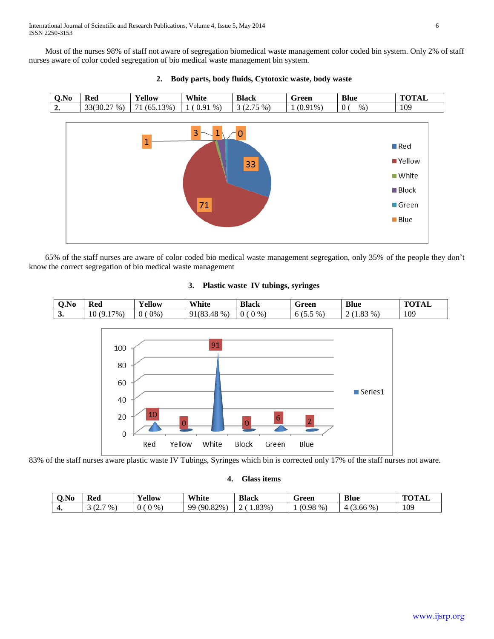Most of the nurses 98% of staff not aware of segregation biomedical waste management color coded bin system. Only 2% of staff nurses aware of color coded segregation of bio medical waste management bin system.



## **2. Body parts, body fluids, Cytotoxic waste, body waste**

 65% of the staff nurses are aware of color coded bio medical waste management segregation, only 35% of the people they don't know the correct segregation of bio medical waste management

## **3. Plastic waste IV tubings, syringes**





83% of the staff nurses aware plastic waste IV Tubings, Syringes which bin is corrected only 17% of the staff nurses not aware.

# **4. Glass items**

| O.No | Red                         | <b>TIP</b><br>∡ellow | White                          | <b>Black</b>  | Green    | <b>Blue</b>           | $\mathbf{m} \mathbf{m}$ |
|------|-----------------------------|----------------------|--------------------------------|---------------|----------|-----------------------|-------------------------|
| ᠇.   | $\%$ .<br>. <u>.</u> .<br>ັ | $0\%$                | 82%<br>$90^\circ$<br>QQ<br>.82 | $4.83\%$<br>- | $0.98\%$ | $56\%$ .<br>3.00<br>4 | 109                     |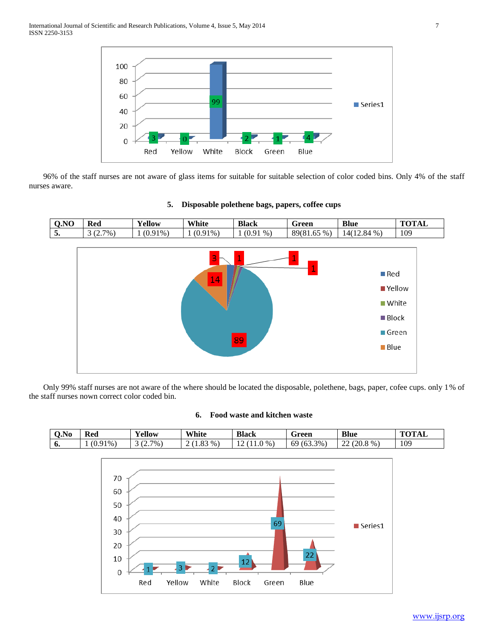

 96% of the staff nurses are not aware of glass items for suitable for suitable selection of color coded bins. Only 4% of the staff nurses aware.

| 0.NO                           | Red        | Yellow     | White      | <b>Black</b> | Green       | <b>Blue</b>   | <b>TOTAL</b> |
|--------------------------------|------------|------------|------------|--------------|-------------|---------------|--------------|
| $\overline{\phantom{0}}$<br>5. | $3(2.7\%)$ | $(0.91\%)$ | $(0.91\%)$ | $1(0.91\%)$  | 89(81.65 %) | $14(12.84\%)$ | 109          |





 Only 99% staff nurses are not aware of the where should be located the disposable, polethene, bags, paper, cofee cups. only 1% of the staff nurses nown correct color coded bin.

## **6. Food waste and kitchen waste**

| <u>ΛN</u><br>O.No | $\sim$<br>Red            | $\mathbf{v}$<br>- 7<br>'ellow | White  | <b>Black</b> | -<br>Green                                 | <b>Blue</b>                                                    | $T$ $\sim$ $T$ $\sim$ $T$<br>1 A L |
|-------------------|--------------------------|-------------------------------|--------|--------------|--------------------------------------------|----------------------------------------------------------------|------------------------------------|
| o.                | $91\%$ .<br>$\mathbf{U}$ | 7%<br>$\sim$<br>. <u>.</u>    | $\%$ . | $\%$<br>∸    | 3%<br>$\sim$ $\sim$ $\sim$<br>69<br>103.5. | $\sim$<br>$9\%$ .<br>٬ኅቦ<br>\ ∠∪.∪<br>$\overline{\phantom{a}}$ | 109                                |

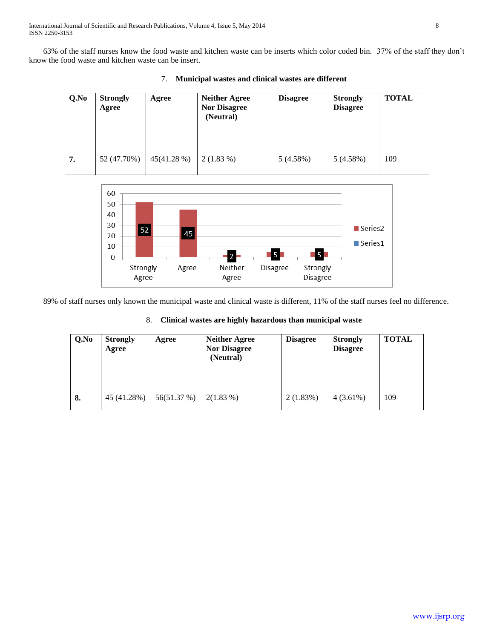63% of the staff nurses know the food waste and kitchen waste can be inserts which color coded bin. 37% of the staff they don't know the food waste and kitchen waste can be insert.

| Q.No | <b>Strongly</b><br>Agree | Agree      | <b>Neither Agree</b><br><b>Nor Disagree</b><br>(Neutral) | <b>Disagree</b> | <b>Strongly</b><br><b>Disagree</b> | <b>TOTAL</b> |
|------|--------------------------|------------|----------------------------------------------------------|-----------------|------------------------------------|--------------|
| 7.   | 52 (47.70%)              | 45(41.28%) | $2(1.83\%)$                                              | 5(4.58%)        | 5(4.58%)                           | 109          |

7. **Municipal wastes and clinical wastes are different**



89% of staff nurses only known the municipal waste and clinical waste is different, 11% of the staff nurses feel no difference.

| Q.No | <b>Strongly</b><br>Agree | Agree       | <b>Neither Agree</b><br><b>Nor Disagree</b><br>(Neutral) | <b>Disagree</b> | <b>Strongly</b><br><b>Disagree</b> | <b>TOTAL</b> |
|------|--------------------------|-------------|----------------------------------------------------------|-----------------|------------------------------------|--------------|
| 8.   | 45 (41.28%)              | 56(51.37 %) | $2(1.83\%)$                                              | 2(1.83%)        | $4(3.61\%)$                        | 109          |

## 8. **Clinical wastes are highly hazardous than municipal waste**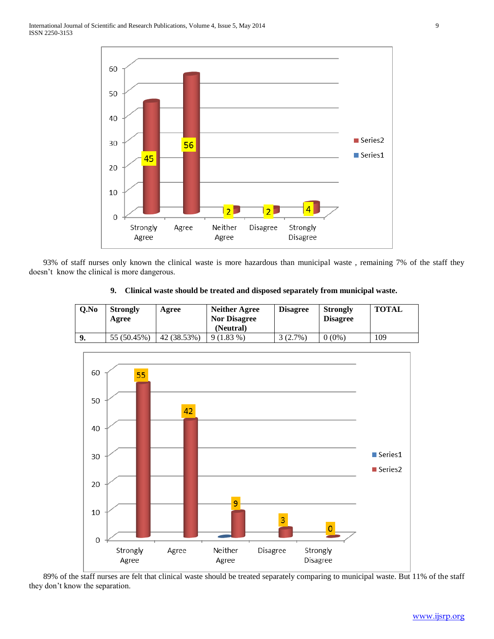

 93% of staff nurses only known the clinical waste is more hazardous than municipal waste , remaining 7% of the staff they doesn't know the clinical is more dangerous.

| Q.No | <b>Strongly</b><br>Agree | Agree       | Neither Agree<br><b>Nor Disagree</b><br>(Neutral) | <b>Disagree</b> | Strongly<br><b>Disagree</b> | TOTAL |
|------|--------------------------|-------------|---------------------------------------------------|-----------------|-----------------------------|-------|
|      | 55 (50.45%)              | 42 (38.53%) | $9(1.83\%)$                                       | $(2.7\%)$       | $(0\%)$                     | 109   |





 89% of the staff nurses are felt that clinical waste should be treated separately comparing to municipal waste. But 11% of the staff they don't know the separation.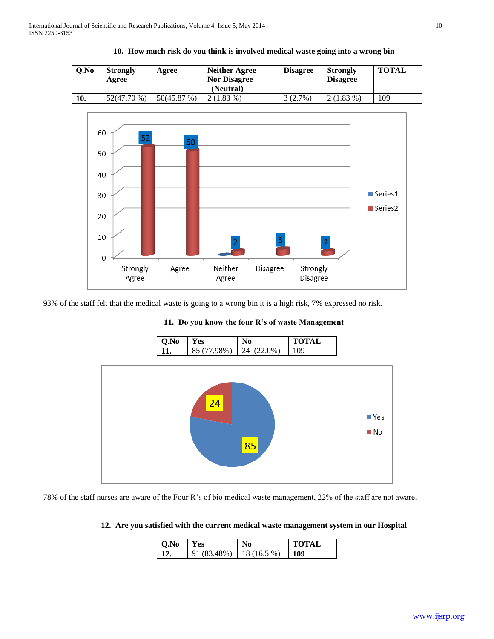| Q.No | <b>Strongly</b><br>Agree | Agree       | Neither Agree<br><b>Nor Disagree</b><br>(Neutral) | <b>Disagree</b> | <b>Strongly</b><br><b>Disagree</b> | <b>TOTAL</b> |
|------|--------------------------|-------------|---------------------------------------------------|-----------------|------------------------------------|--------------|
| 10.  | 52(47.70 %)              | 50(45.87 %) | $2(1.83\%)$                                       | 3(2.7%)         | $(1.83\%$                          | 109          |





93% of the staff felt that the medical waste is going to a wrong bin it is a high risk, 7% expressed no risk.



**11. Do you know the four R's of waste Management**

78% of the staff nurses are aware of the Four R's of bio medical waste management, 22% of the staff are not aware**.** 

## **12. Are you satisfied with the current medical waste management system in our Hospital**

| $\overline{O}$ .No | <b>Yes</b>                   | No | <b>TOTAL</b> |
|--------------------|------------------------------|----|--------------|
|                    | $91 (83.48\%)$   18 (16.5 %) |    | 109          |